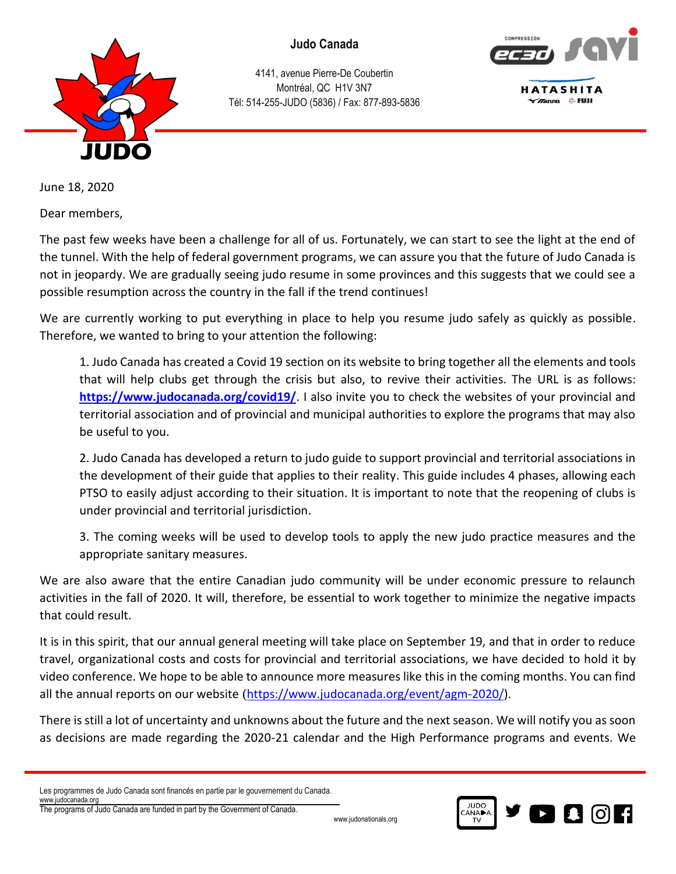

4141, avenue Pierre-De Coubertin Montréal, QC H1V 3N7 Tél: 514-255-JUDO (5836) / Fax: 877-893-5836



June 18, 2020

Dear members,

The past few weeks have been a challenge for all of us. Fortunately, we can start to see the light at the end of the tunnel. With the help of federal government programs, we can assure you that the future of Judo Canada is not in jeopardy. We are gradually seeing judo resume in some provinces and this suggests that we could see a possible resumption across the country in the fall if the trend continues!

We are currently working to put everything in place to help you resume judo safely as quickly as possible. Therefore, we wanted to bring to your attention the following:

1. Judo Canada has created a Covid 19 section on its website to bring together all the elements and tools that will help clubs get through the crisis but also, to revive their activities. The URL is as follows: **<https://www.judocanada.org/covid19/>**. I also invite you to check the websites of your provincial and territorial association and of provincial and municipal authorities to explore the programs that may also be useful to you.

2. Judo Canada has developed a return to judo guide to support provincial and territorial associations in the development of their guide that applies to their reality. This guide includes 4 phases, allowing each PTSO to easily adjust according to their situation. It is important to note that the reopening of clubs is under provincial and territorial jurisdiction.

3. The coming weeks will be used to develop tools to apply the new judo practice measures and the appropriate sanitary measures.

We are also aware that the entire Canadian judo community will be under economic pressure to relaunch activities in the fall of 2020. It will, therefore, be essential to work together to minimize the negative impacts that could result.

It is in this spirit, that our annual general meeting will take place on September 19, and that in order to reduce travel, organizational costs and costs for provincial and territorial associations, we have decided to hold it by video conference. We hope to be able to announce more measures like this in the coming months. You can find all the annual reports on our website ([https://www.judocanada.org/event/agm-2020/\)](https://www.judocanada.org/event/agm-2020/).

There is still a lot of uncertainty and unknowns about the future and the next season. We will notify you as soon as decisions are made regarding the 2020-21 calendar and the High Performance programs and events. We

Les programmes de Judo Canada sont financés en partie par le gouvernement du Canada. [www.judocanada.org](http://www.judocanada.org/)

The programs of Judo Canada are funded in part by the Government of Canada.

www.judonationals.org